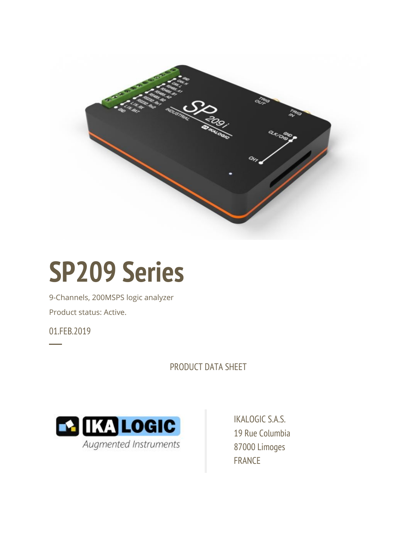

# **SP209 Series**

9-Channels, 200MSPS logic analyzer

Product status: Active.

01.FEB.2019

─

PRODUCT DATA SHEET



IKALOGIC S.A.S. 19 Rue Columbia 87000 Limoges FRANCE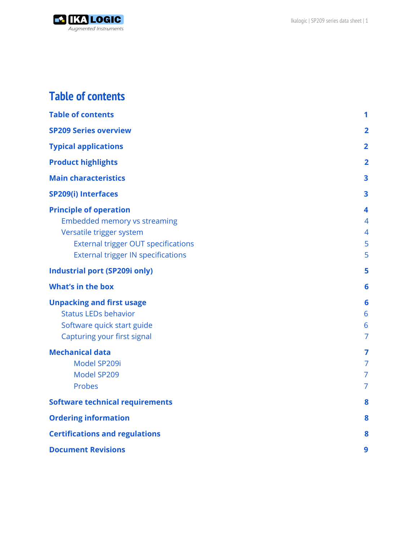

# <span id="page-1-0"></span>**Table of contents**

| <b>Table of contents</b>                                                                                                                                                                    | 1                                               |
|---------------------------------------------------------------------------------------------------------------------------------------------------------------------------------------------|-------------------------------------------------|
| <b>SP209 Series overview</b>                                                                                                                                                                | $\overline{2}$                                  |
| <b>Typical applications</b>                                                                                                                                                                 | $\overline{\mathbf{2}}$                         |
| <b>Product highlights</b>                                                                                                                                                                   | $\overline{2}$                                  |
| <b>Main characteristics</b>                                                                                                                                                                 | 3                                               |
| <b>SP209(i) Interfaces</b>                                                                                                                                                                  | 3                                               |
| <b>Principle of operation</b><br><b>Embedded memory vs streaming</b><br>Versatile trigger system<br><b>External trigger OUT specifications</b><br><b>External trigger IN specifications</b> | 4<br>$\overline{4}$<br>$\overline{4}$<br>5<br>5 |
| <b>Industrial port (SP209i only)</b>                                                                                                                                                        | 5                                               |
| <b>What's in the box</b>                                                                                                                                                                    | 6                                               |
| <b>Unpacking and first usage</b><br><b>Status LEDs behavior</b><br>Software quick start guide<br>Capturing your first signal                                                                | 6<br>6<br>6<br>$\overline{7}$                   |
| <b>Mechanical data</b><br>Model SP209i<br>Model SP209<br>Probes                                                                                                                             | 7<br>$\overline{7}$<br>7<br>7                   |
| <b>Software technical requirements</b>                                                                                                                                                      | 8                                               |
| <b>Ordering information</b>                                                                                                                                                                 | 8                                               |
| <b>Certifications and regulations</b>                                                                                                                                                       | 8                                               |
| <b>Document Revisions</b>                                                                                                                                                                   | 9                                               |
|                                                                                                                                                                                             |                                                 |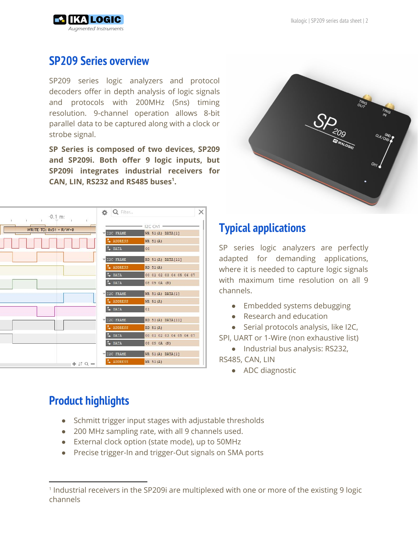

## <span id="page-2-0"></span>**SP209 Series overview**

SP209 series logic analyzers and protocol decoders offer in depth analysis of logic signals and protocols with 200MHz (5ns) timing resolution. 9-channel operation allows 8-bit parallel data to be captured along with a clock or strobe signal.

<span id="page-2-1"></span>**SP Series is composed of two devices, SP209 and SP209i. Both offer 9 logic inputs, but SP209i integrates industrial receivers for CAN, LIN, RS232 and RS485 buses . 1**



| $-0.1$ m:              | $Q$ Filter         |                                  |
|------------------------|--------------------|----------------------------------|
|                        |                    |                                  |
| WRITE TO: 0x51 + R/W=0 |                    | I <sub>2</sub> C Ch <sub>1</sub> |
|                        | I2C FRAME          | WR 51(A) DATA[1]                 |
|                        | L ADDRESS          | WR 51(A)                         |
|                        | $L_{\bullet}$ DATA | 00                               |
|                        | IZC FRAME          | RD 51(A) DATA[11]                |
|                        | L ADDRESS          | RD 51(A)                         |
|                        | L DATA             | 00 01 02 03 04 05 06 07          |
|                        | L DATA             | 08 09 0A (N)                     |
|                        | I2C FRAME          | WR 51(A) DATA[1]                 |
|                        | L ADDRESS          | WR 51(A)                         |
|                        | L DATA             | 01                               |
|                        | I2C FRAME          | RD 51(A) DATA[11]                |
|                        | L ADDRESS          | RD 51(A)                         |
|                        | L DATA             | 00 01 02 03 04 05 06 07          |
|                        | L DATA             | 08 09 0A (N)                     |
|                        | IZC FRAME          | WR 51(A) DATA[1]                 |
| $+ 2Q -$               | L ADDRESS          | WR 51(A)                         |

# **Typical applications**

SP series logic analyzers are perfectly adapted for demanding applications, where it is needed to capture logic signals with maximum time resolution on all 9 channels.

- Embedded systems debugging
- Research and education

● Serial protocols analysis, like I2C,

SPI, UART or 1-Wire (non exhaustive list)

● Industrial bus analysis: RS232,

RS485, CAN, LIN

● ADC diagnostic

# <span id="page-2-2"></span>**Product highlights**

- Schmitt trigger input stages with adjustable thresholds
- 200 MHz sampling rate, with all 9 channels used.
- External clock option (state mode), up to 50MHz
- Precise trigger-In and trigger-Out signals on SMA ports

<sup>1</sup> Industrial receivers in the SP209i are multiplexed with one or more of the existing 9 logic channels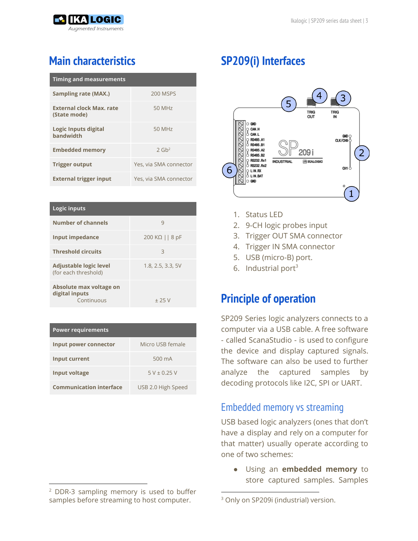



# <span id="page-3-0"></span>**Main characteristics**

| <b>Timing and measurements</b>           |                        |
|------------------------------------------|------------------------|
| Sampling rate (MAX.)                     | <b>200 MSPS</b>        |
| External clock Max, rate<br>(State mode) | 50 MHz                 |
| Logic Inputs digital<br>bandwidth        | 50 MHz                 |
| <b>Embedded memory</b>                   | 2 Gh <sup>2</sup>      |
| <b>Trigger output</b>                    | Yes, via SMA connector |
| <b>External trigger input</b>            | Yes, via SMA connector |

| Logic inputs                                            |                        |
|---------------------------------------------------------|------------------------|
| Number of channels                                      | q                      |
| Input impedance                                         | $200 K\Omega$     8 pF |
| <b>Threshold circuits</b>                               | 3                      |
| Adjustable logic level<br>(for each threshold)          | 1.8, 2.5, 3.3, 5V      |
| Absolute max voltage on<br>digital inputs<br>Continuous | + 25 V                 |

| <b>Power requirements</b>      |                    |
|--------------------------------|--------------------|
| Input power connector          | Micro USB female   |
| Input current                  | $500 \text{ mA}$   |
| Input voltage                  | $5 V + 0.25 V$     |
| <b>Communication interface</b> | USB 2.0 High Speed |

# <span id="page-3-1"></span>**SP209(i) Interfaces**



- 1. Status LED
- 2. 9-CH logic probes input
- 3. Trigger OUT SMA connector
- 4. Trigger IN SMA connector
- 5. USB (micro-B) port.
- <span id="page-3-2"></span>6. Industrial port<sup>3</sup>

## **Principle of operation**

SP209 Series logic analyzers connects to a computer via a USB cable. A free software - called ScanaStudio - is used to configure the device and display captured signals. The software can also be used to further analyze the captured samples by decoding protocols like I2C, SPI or UART.

## <span id="page-3-3"></span>Embedded memory vs streaming

USB based logic analyzers (ones that don't have a display and rely on a computer for that matter) usually operate according to one of two schemes:

● Using an **embedded memory** to store captured samples. Samples

<sup>2</sup> DDR-3 sampling memory is used to buffer samples before streaming to host computer.

<sup>&</sup>lt;sup>3</sup> Only on SP209i (industrial) version.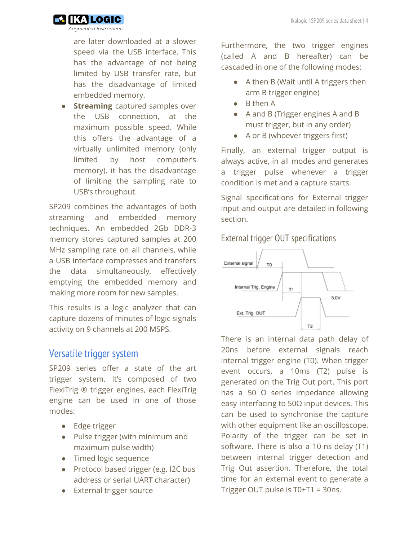

are later downloaded at a slower speed via the USB interface. This has the advantage of not being limited by USB transfer rate, but has the disadvantage of limited embedded memory.

**• Streaming** captured samples over the USB connection, at the maximum possible speed. While this offers the advantage of a virtually unlimited memory (only limited by host computer's memory), it has the disadvantage of limiting the sampling rate to USB's throughput.

SP209 combines the advantages of both streaming and embedded memory techniques. An embedded 2Gb DDR-3 memory stores captured samples at 200 MHz sampling rate on all channels, while a USB interface compresses and transfers the data simultaneously, effectively emptying the embedded memory and making more room for new samples.

This results is a logic analyzer that can capture dozens of minutes of logic signals activity on 9 channels at 200 MSPS.

### <span id="page-4-0"></span>Versatile trigger system

SP209 series offer a state of the art trigger system. It's composed of two FlexiTrig ® trigger engines, each FlexiTrig engine can be used in one of those modes:

- Edge trigger
- Pulse trigger (with minimum and maximum pulse width)
- Timed logic sequence
- Protocol based trigger (e.g. I2C bus address or serial UART character)
- External trigger source

Furthermore, the two trigger engines (called A and B hereafter) can be cascaded in one of the following modes:

- A then B (Wait until A triggers then arm B trigger engine)
- **B** then A
- A and B (Trigger engines A and B must trigger, but in any order)
- A or B (whoever triggers first)

Finally, an external trigger output is always active, in all modes and generates a trigger pulse whenever a trigger condition is met and a capture starts.

Signal specifications for External trigger input and output are detailed in following section.

#### <span id="page-4-1"></span>External trigger OUT specifications



There is an internal data path delay of 20ns before external signals reach internal trigger engine (T0). When trigger event occurs, a 10ms (T2) pulse is generated on the Trig Out port. This port has a 50  $Ω$  series impedance allowing easy interfacing to 50Ω input devices. This can be used to synchronise the capture with other equipment like an oscilloscope. Polarity of the trigger can be set in software. There is also a 10 ns delay (T1) between internal trigger detection and Trig Out assertion. Therefore, the total time for an external event to generate a Trigger OUT pulse is T0+T1 = 30ns.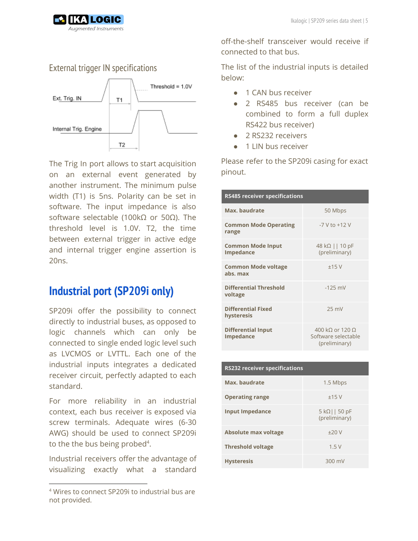<span id="page-5-0"></span>

#### External trigger IN specifications



The Trig In port allows to start acquisition on an external event generated by another instrument. The minimum pulse width (T1) is 5ns. Polarity can be set in software. The input impedance is also software selectable (100kΩ or 50Ω). The threshold level is 1.0V. T2, the time between external trigger in active edge and internal trigger engine assertion is 20ns.

## <span id="page-5-1"></span>**Industrial port (SP209i only)**

SP209i offer the possibility to connect directly to industrial buses, as opposed to logic channels which can only be connected to single ended logic level such as LVCMOS or LVTTL. Each one of the industrial inputs integrates a dedicated receiver circuit, perfectly adapted to each standard.

For more reliability in an industrial context, each bus receiver is exposed via screw terminals. Adequate wires (6-30 AWG) should be used to connect SP209i to the the bus being probed<sup>4</sup>.

Industrial receivers offer the advantage of visualizing exactly what a standard

off-the-shelf transceiver would receive if connected to that bus.

The list of the industrial inputs is detailed below:

- 1 CAN bus receiver
- 2 RS485 bus receiver (can be combined to form a full duplex RS422 bus receiver)
- 2 RS232 receivers
- 1 LIN bus receiver

Please refer to the SP209i casing for exact pinout.

| <b>RS485 receiver specifications</b>          |                                                                               |
|-----------------------------------------------|-------------------------------------------------------------------------------|
| Max. baudrate                                 | 50 Mbps                                                                       |
| <b>Common Mode Operating</b><br>range         | $-7V$ to $+12V$                                                               |
| <b>Common Mode Input</b><br><b>Impedance</b>  | $48 k\Omega$     10 pF<br>(preliminary)                                       |
| <b>Common Mode voltage</b><br>abs, max        | $+15V$                                                                        |
| Differential Threshold<br>voltage             | $-125$ mV                                                                     |
| <b>Differential Fixed</b><br>hysteresis       | $25 \text{ mV}$                                                               |
| <b>Differential Input</b><br><b>Impedance</b> | $400 \text{ k}\Omega$ or $120 \Omega$<br>Software selectable<br>(preliminary) |

| <b>RS232 receiver specifications</b> |                                      |
|--------------------------------------|--------------------------------------|
| Max. baudrate                        | 1.5 Mbps                             |
| <b>Operating range</b>               | $+15V$                               |
| <b>Input Impedance</b>               | $5 k\Omega$   50 pF<br>(preliminary) |
| Absolute max voltage                 | $+20V$                               |
| <b>Threshold voltage</b>             | 1.5V                                 |
| <b>Hysteresis</b>                    | $300 \text{ mV}$                     |

<sup>4</sup> Wires to connect SP209i to industrial bus are not provided.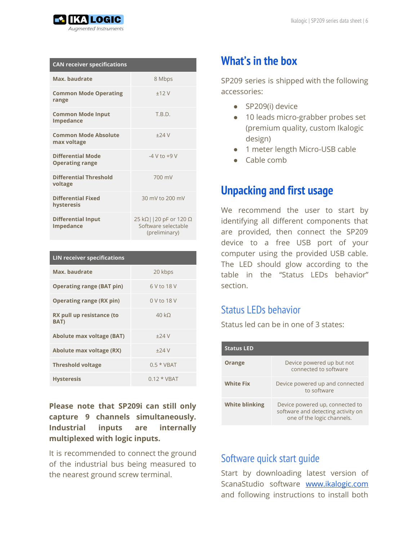

| <b>CAN receiver specifications</b>          |                                                                              |
|---------------------------------------------|------------------------------------------------------------------------------|
| Max. baudrate                               | 8 Mbps                                                                       |
| <b>Common Mode Operating</b><br>range       | $+12V$                                                                       |
| <b>Common Mode Input</b><br>Impedance       | T.B.D.                                                                       |
| <b>Common Mode Absolute</b><br>max voltage  | $+24V$                                                                       |
| Differential Mode<br><b>Operating range</b> | $-4V$ to $+9V$                                                               |
| Differential Threshold<br>voltage           | 700 mV                                                                       |
| <b>Differential Fixed</b><br>hysteresis     | 30 mV to 200 mV                                                              |
| <b>Differential Input</b><br>Impedance      | $25 k\Omega$   20 pF or 120 $\Omega$<br>Software selectable<br>(preliminary) |

| <b>LIN receiver specifications</b> |               |
|------------------------------------|---------------|
| Max. baudrate                      | 20 kbps       |
| <b>Operating range (BAT pin)</b>   | 6 V to 18 V   |
| <b>Operating range (RX pin)</b>    | 0 V to 18 V   |
| RX pull up resistance (to<br>BAT)  | 40 kQ         |
| <b>Abolute max voltage (BAT)</b>   | $+24V$        |
| Abolute max voltage (RX)           | $+24V$        |
| <b>Threshold voltage</b>           | $0.5 * VBAT$  |
| Hysteresis                         | $0.12 * VBAT$ |

**Please note that SP209i can still only capture 9 channels simultaneously. Industrial inputs are internally multiplexed with logic inputs.**

It is recommended to connect the ground of the industrial bus being measured to the nearest ground screw terminal.

## <span id="page-6-0"></span>**What's in the box**

SP209 series is shipped with the following accessories:

- SP209(i) device
- 10 leads micro-grabber probes set (premium quality, custom Ikalogic design)
- 1 meter length Micro-USB cable
- <span id="page-6-1"></span>● Cable comb

## **Unpacking and first usage**

We recommend the user to start by identifying all different components that are provided, then connect the SP209 device to a free USB port of your computer using the provided USB cable. The LED should glow according to the table in the "Status LEDs behavior" section.

## <span id="page-6-2"></span>Status LEDs behavior

Status led can be in one of 3 states:

| <b>Status LED</b>     |                                                                                                     |
|-----------------------|-----------------------------------------------------------------------------------------------------|
| <b>Orange</b>         | Device powered up but not<br>connected to software                                                  |
| <b>White Fix</b>      | Device powered up and connected<br>to software                                                      |
| <b>White blinking</b> | Device powered up, connected to<br>software and detecting activity on<br>one of the logic channels. |

## <span id="page-6-3"></span>Software quick start guide

Start by downloading latest version of ScanaStudio software [www.ikalogic.com](http://www.ikalogic.com/) and following instructions to install both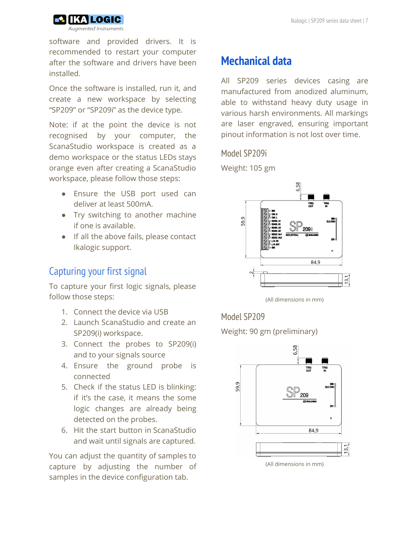

software and provided drivers. It is recommended to restart your computer after the software and drivers have been installed.

Once the software is installed, run it, and create a new workspace by selecting "SP209" or "SP209i" as the device type.

Note: if at the point the device is not recognised by your computer, the ScanaStudio workspace is created as a demo workspace or the status LEDs stays orange even after creating a ScanaStudio workspace, please follow those steps:

- Ensure the USB port used can deliver at least 500mA.
- Try switching to another machine if one is available.
- If all the above fails, please contact Ikalogic support.

## <span id="page-7-0"></span>Capturing your first signal

To capture your first logic signals, please follow those steps:

- 1. Connect the device via USB
- 2. Launch ScanaStudio and create an SP209(i) workspace.
- 3. Connect the probes to SP209(i) and to your signals source
- 4. Ensure the ground probe is connected
- 5. Check if the status LED is blinking: if it's the case, it means the some logic changes are already being detected on the probes.
- 6. Hit the start button in ScanaStudio and wait until signals are captured.

You can adjust the quantity of samples to capture by adjusting the number of samples in the device configuration tab.

## <span id="page-7-1"></span>**Mechanical data**

All SP209 series devices casing are manufactured from anodized aluminum, able to withstand heavy duty usage in various harsh environments. All markings are laser engraved, ensuring important pinout information is not lost over time.

#### <span id="page-7-2"></span>Model SP209i

Weight: 105 gm



(All dimensions in mm)

#### <span id="page-7-3"></span>Model SP209

Weight: 90 gm (preliminary)



<span id="page-7-4"></span>(All dimensions in mm)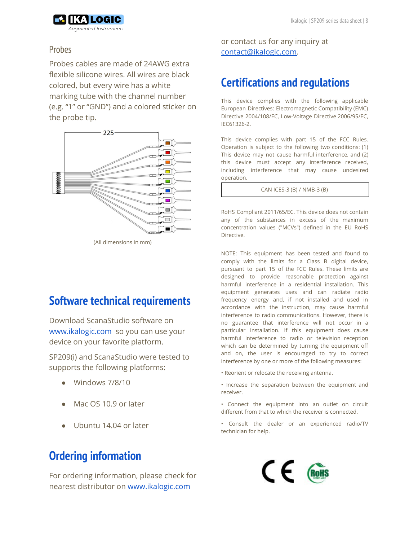

Probes

Probes cables are made of 24AWG extra flexible silicone wires. All wires are black colored, but every wire has a white marking tube with the channel number (e.g. "1" or "GND") and a colored sticker on the probe tip.



(All dimensions in mm)

# <span id="page-8-0"></span>**Software technical requirements**

Download ScanaStudio software on [www.ikalogic.com](http://www.ikalogic.com/) so you can use your device on your favorite platform.

SP209(i) and ScanaStudio were tested to supports the following platforms:

- $\bullet$  Windows 7/8/10
- Mac OS 10.9 or later
- <span id="page-8-1"></span>Ubuntu 14.04 or later

# **Ordering information**

For ordering information, please check for nearest distributor on [www.ikalogic.com](http://www.ikalogic.com/)

or contact us for any inquiry at [contact@ikalogic.com.](mailto:contact@ikalogic.com)

## <span id="page-8-2"></span>**Certifications and regulations**

This device complies with the following applicable European Directives: Electromagnetic Compatibility (EMC) Directive 2004/108/EC, Low-Voltage Directive 2006/95/EC, IEC61326-2.

This device complies with part 15 of the FCC Rules. Operation is subject to the following two conditions: (1) This device may not cause harmful interference, and (2) this device must accept any interference received, including interference that may cause undesired operation.

CAN ICES-3 (B) / NMB-3 (B)

RoHS Compliant 2011/65/EC. This device does not contain any of the substances in excess of the maximum concentration values ("MCVs") defined in the EU RoHS Directive.

NOTE: This equipment has been tested and found to comply with the limits for a Class B digital device, pursuant to part 15 of the FCC Rules. These limits are designed to provide reasonable protection against harmful interference in a residential installation. This equipment generates uses and can radiate radio frequency energy and, if not installed and used in accordance with the instruction, may cause harmful interference to radio communications. However, there is no guarantee that interference will not occur in a particular installation. If this equipment does cause harmful interference to radio or television reception which can be determined by turning the equipment off and on, the user is encouraged to try to correct interference by one or more of the following measures:

- Reorient or relocate the receiving antenna.
- Increase the separation between the equipment and receiver.
- Connect the equipment into an outlet on circuit different from that to which the receiver is connected.
- Consult the dealer or an experienced radio/TV technician for help.

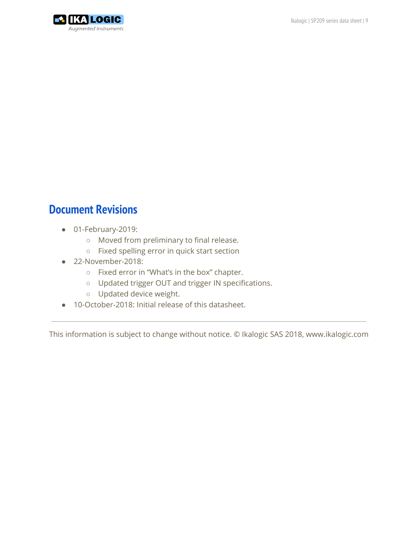

# <span id="page-9-0"></span>**Document Revisions**

- 01-February-2019:
	- Moved from preliminary to final release.
	- Fixed spelling error in quick start section
- 22-November-2018:
	- Fixed error in "What's in the box" chapter.
	- Updated trigger OUT and trigger IN specifications.
	- Updated device weight.
- 10-October-2018: Initial release of this datasheet.

This information is subject to change without notice. © Ikalogic SAS 2018, www.ikalogic.com